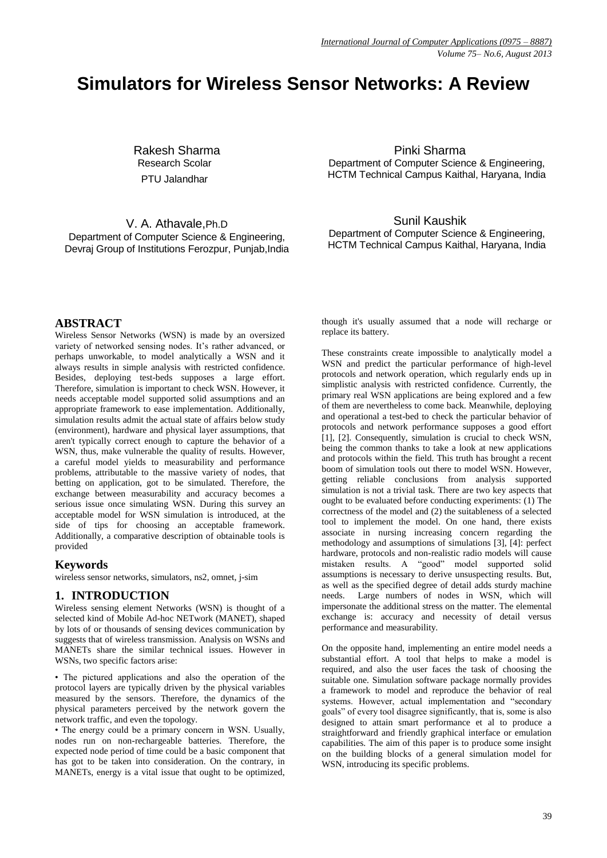# **Simulators for Wireless Sensor Networks: A Review**

Rakesh Sharma Research Scolar PTU Jalandhar

V. A. Athavale,Ph.D Department of Computer Science & Engineering, Devraj Group of Institutions Ferozpur, Punjab,India

Pinki Sharma Department of Computer Science & Engineering, HCTM Technical Campus Kaithal, Haryana, India

Sunil Kaushik

Department of Computer Science & Engineering, HCTM Technical Campus Kaithal, Haryana, India

## **ABSTRACT**

Wireless Sensor Networks (WSN) is made by an oversized variety of networked sensing nodes. It's rather advanced, or perhaps unworkable, to model analytically a WSN and it always results in simple analysis with restricted confidence. Besides, deploying test-beds supposes a large effort. Therefore, simulation is important to check WSN. However, it needs acceptable model supported solid assumptions and an appropriate framework to ease implementation. Additionally, simulation results admit the actual state of affairs below study (environment), hardware and physical layer assumptions, that aren't typically correct enough to capture the behavior of a WSN, thus, make vulnerable the quality of results. However, a careful model yields to measurability and performance problems, attributable to the massive variety of nodes, that betting on application, got to be simulated. Therefore, the exchange between measurability and accuracy becomes a serious issue once simulating WSN. During this survey an acceptable model for WSN simulation is introduced, at the side of tips for choosing an acceptable framework. Additionally, a comparative description of obtainable tools is provided

## **Keywords**

wireless sensor networks, simulators, ns2, omnet, j-sim

## **1. INTRODUCTION**

Wireless sensing element Networks (WSN) is thought of a selected kind of Mobile Ad-hoc NETwork (MANET), shaped by lots of or thousands of sensing devices communication by suggests that of wireless transmission. Analysis on WSNs and MANETs share the similar technical issues. However in WSNs, two specific factors arise:

• The pictured applications and also the operation of the protocol layers are typically driven by the physical variables measured by the sensors. Therefore, the dynamics of the physical parameters perceived by the network govern the network traffic, and even the topology.

• The energy could be a primary concern in WSN. Usually, nodes run on non-rechargeable batteries. Therefore, the expected node period of time could be a basic component that has got to be taken into consideration. On the contrary, in MANETs, energy is a vital issue that ought to be optimized,

though it's usually assumed that a node will recharge or replace its battery.

These constraints create impossible to analytically model a WSN and predict the particular performance of high-level protocols and network operation, which regularly ends up in simplistic analysis with restricted confidence. Currently, the primary real WSN applications are being explored and a few of them are nevertheless to come back. Meanwhile, deploying and operational a test-bed to check the particular behavior of protocols and network performance supposes a good effort [1], [2]. Consequently, simulation is crucial to check WSN, being the common thanks to take a look at new applications and protocols within the field. This truth has brought a recent boom of simulation tools out there to model WSN. However, getting reliable conclusions from analysis supported simulation is not a trivial task. There are two key aspects that ought to be evaluated before conducting experiments: (1) The correctness of the model and (2) the suitableness of a selected tool to implement the model. On one hand, there exists associate in nursing increasing concern regarding the methodology and assumptions of simulations [3], [4]: perfect hardware, protocols and non-realistic radio models will cause mistaken results. A "good" model supported solid assumptions is necessary to derive unsuspecting results. But, as well as the specified degree of detail adds sturdy machine needs. Large numbers of nodes in WSN, which will impersonate the additional stress on the matter. The elemental exchange is: accuracy and necessity of detail versus performance and measurability.

On the opposite hand, implementing an entire model needs a substantial effort. A tool that helps to make a model is required, and also the user faces the task of choosing the suitable one. Simulation software package normally provides a framework to model and reproduce the behavior of real systems. However, actual implementation and "secondary goals" of every tool disagree significantly, that is, some is also designed to attain smart performance et al to produce a straightforward and friendly graphical interface or emulation capabilities. The aim of this paper is to produce some insight on the building blocks of a general simulation model for WSN, introducing its specific problems.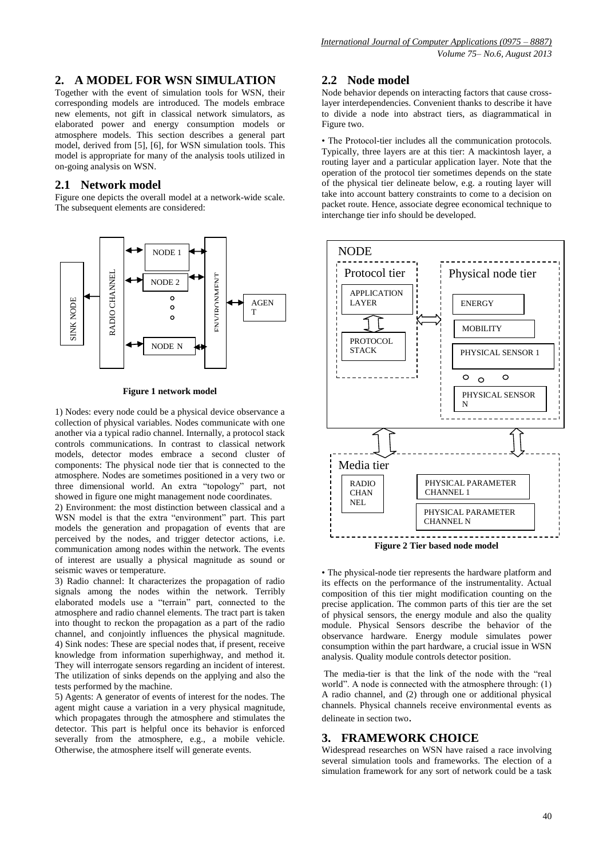# **2. A MODEL FOR WSN SIMULATION**

Together with the event of simulation tools for WSN, their corresponding models are introduced. The models embrace new elements, not gift in classical network simulators, as elaborated power and energy consumption models or atmosphere models. This section describes a general part model, derived from [5], [6], for WSN simulation tools. This model is appropriate for many of the analysis tools utilized in on-going analysis on WSN.

# **2.1 Network model**

Figure one depicts the overall model at a network-wide scale. The subsequent elements are considered:



#### **Figure 1 network model**

1) Nodes: every node could be a physical device observance a collection of physical variables. Nodes communicate with one another via a typical radio channel. Internally, a protocol stack controls communications. In contrast to classical network models, detector modes embrace a second cluster of components: The physical node tier that is connected to the atmosphere. Nodes are sometimes positioned in a very two or three dimensional world. An extra "topology" part, not showed in figure one might management node coordinates.

2) Environment: the most distinction between classical and a WSN model is that the extra "environment" part. This part models the generation and propagation of events that are perceived by the nodes, and trigger detector actions, i.e. communication among nodes within the network. The events of interest are usually a physical magnitude as sound or seismic waves or temperature.

3) Radio channel: It characterizes the propagation of radio signals among the nodes within the network. Terribly elaborated models use a "terrain" part, connected to the atmosphere and radio channel elements. The tract part is taken into thought to reckon the propagation as a part of the radio channel, and conjointly influences the physical magnitude. 4) Sink nodes: These are special nodes that, if present, receive knowledge from information superhighway, and method it. They will interrogate sensors regarding an incident of interest. The utilization of sinks depends on the applying and also the tests performed by the machine.

5) Agents: A generator of events of interest for the nodes. The agent might cause a variation in a very physical magnitude, which propagates through the atmosphere and stimulates the detector. This part is helpful once its behavior is enforced severally from the atmosphere, e.g., a mobile vehicle. Otherwise, the atmosphere itself will generate events.

# **2.2 Node model**

Node behavior depends on interacting factors that cause crosslayer interdependencies. Convenient thanks to describe it have to divide a node into abstract tiers, as diagrammatical in Figure two.

• The Protocol-tier includes all the communication protocols. Typically, three layers are at this tier: A mackintosh layer, a routing layer and a particular application layer. Note that the operation of the protocol tier sometimes depends on the state of the physical tier delineate below, e.g. a routing layer will take into account battery constraints to come to a decision on packet route. Hence, associate degree economical technique to interchange tier info should be developed.



• The physical-node tier represents the hardware platform and its effects on the performance of the instrumentality. Actual composition of this tier might modification counting on the precise application. The common parts of this tier are the set of physical sensors, the energy module and also the quality module. Physical Sensors describe the behavior of the observance hardware. Energy module simulates power consumption within the part hardware, a crucial issue in WSN analysis. Quality module controls detector position.

The media-tier is that the link of the node with the "real world". A node is connected with the atmosphere through: (1) A radio channel, and (2) through one or additional physical channels. Physical channels receive environmental events as delineate in section two.

#### **3. FRAMEWORK CHOICE**

Widespread researches on WSN have raised a race involving several simulation tools and frameworks. The election of a simulation framework for any sort of network could be a task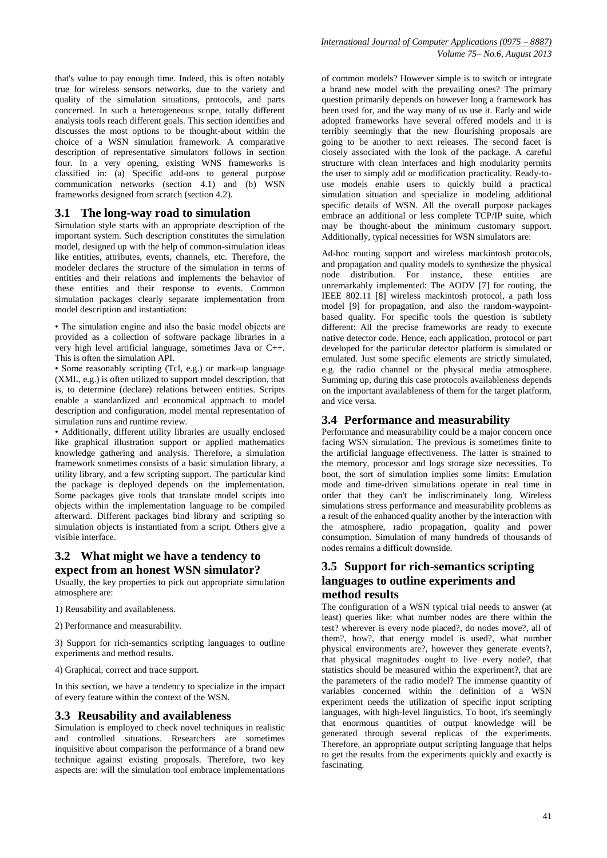that's value to pay enough time. Indeed, this is often notably true for wireless sensors networks, due to the variety and quality of the simulation situations, protocols, and parts concerned. In such a heterogeneous scope, totally different analysis tools reach different goals. This section identifies and discusses the most options to be thought-about within the choice of a WSN simulation framework. A comparative description of representative simulators follows in section four. In a very opening, existing WNS frameworks is classified in: (a) Specific add-ons to general purpose communication networks (section 4.1) and  $(b)$  WSN frameworks designed from scratch (section 4.2).

#### **3.1 The long-way road to simulation**

Simulation style starts with an appropriate description of the important system. Such description constitutes the simulation model, designed up with the help of common-simulation ideas like entities, attributes, events, channels, etc. Therefore, the modeler declares the structure of the simulation in terms of entities and their relations and implements the behavior of these entities and their response to events. Common simulation packages clearly separate implementation from model description and instantiation:

• The simulation engine and also the basic model objects are provided as a collection of software package libraries in a very high level artificial language, sometimes Java or C++. This is often the simulation API.

• Some reasonably scripting (Tcl, e.g.) or mark-up language (XML, e.g.) is often utilized to support model description, that is, to determine (declare) relations between entities. Scripts enable a standardized and economical approach to model description and configuration, model mental representation of simulation runs and runtime review.

• Additionally, different utility libraries are usually enclosed like graphical illustration support or applied mathematics knowledge gathering and analysis. Therefore, a simulation framework sometimes consists of a basic simulation library, a utility library, and a few scripting support. The particular kind the package is deployed depends on the implementation. Some packages give tools that translate model scripts into objects within the implementation language to be compiled afterward. Different packages bind library and scripting so simulation objects is instantiated from a script. Others give a visible interface.

## **3.2 What might we have a tendency to expect from an honest WSN simulator?**

Usually, the key properties to pick out appropriate simulation atmosphere are:

- 1) Reusability and availableness.
- 2) Performance and measurability.

3) Support for rich-semantics scripting languages to outline experiments and method results.

4) Graphical, correct and trace support.

In this section, we have a tendency to specialize in the impact of every feature within the context of the WSN.

#### **3.3 Reusability and availableness**

Simulation is employed to check novel techniques in realistic and controlled situations. Researchers are sometimes inquisitive about comparison the performance of a brand new technique against existing proposals. Therefore, two key aspects are: will the simulation tool embrace implementations

of common models? However simple is to switch or integrate a brand new model with the prevailing ones? The primary question primarily depends on however long a framework has been used for, and the way many of us use it. Early and wide adopted frameworks have several offered models and it is terribly seemingly that the new flourishing proposals are going to be another to next releases. The second facet is closely associated with the look of the package. A careful structure with clean interfaces and high modularity permits the user to simply add or modification practicality. Ready-touse models enable users to quickly build a practical simulation situation and specialize in modeling additional specific details of WSN. All the overall purpose packages embrace an additional or less complete TCP/IP suite, which may be thought-about the minimum customary support. Additionally, typical necessities for WSN simulators are:

Ad-hoc routing support and wireless mackintosh protocols, and propagation and quality models to synthesize the physical node distribution. For instance, these entities are unremarkably implemented: The AODV [7] for routing, the IEEE 802.11 [8] wireless mackintosh protocol, a path loss model [9] for propagation, and also the random-waypointbased quality. For specific tools the question is subtlety different: All the precise frameworks are ready to execute native detector code. Hence, each application, protocol or part developed for the particular detector platform is simulated or emulated. Just some specific elements are strictly simulated, e.g. the radio channel or the physical media atmosphere. Summing up, during this case protocols availableness depends on the important availableness of them for the target platform, and vice versa.

# **3.4 Performance and measurability**

Performance and measurability could be a major concern once facing WSN simulation. The previous is sometimes finite to the artificial language effectiveness. The latter is strained to the memory, processor and logs storage size necessities. To boot, the sort of simulation implies some limits: Emulation mode and time-driven simulations operate in real time in order that they can't be indiscriminately long. Wireless simulations stress performance and measurability problems as a result of the enhanced quality another by the interaction with the atmosphere, radio propagation, quality and power consumption. Simulation of many hundreds of thousands of nodes remains a difficult downside.

# **3.5 Support for rich-semantics scripting languages to outline experiments and method results**

The configuration of a WSN typical trial needs to answer (at least) queries like: what number nodes are there within the test? wherever is every node placed?, do nodes move?, all of them?, how?, that energy model is used?, what number physical environments are?, however they generate events?, that physical magnitudes ought to live every node?, that statistics should be measured within the experiment?, that are the parameters of the radio model? The immense quantity of variables concerned within the definition of a WSN experiment needs the utilization of specific input scripting languages, with high-level linguistics. To boot, it's seemingly that enormous quantities of output knowledge will be generated through several replicas of the experiments. Therefore, an appropriate output scripting language that helps to get the results from the experiments quickly and exactly is fascinating.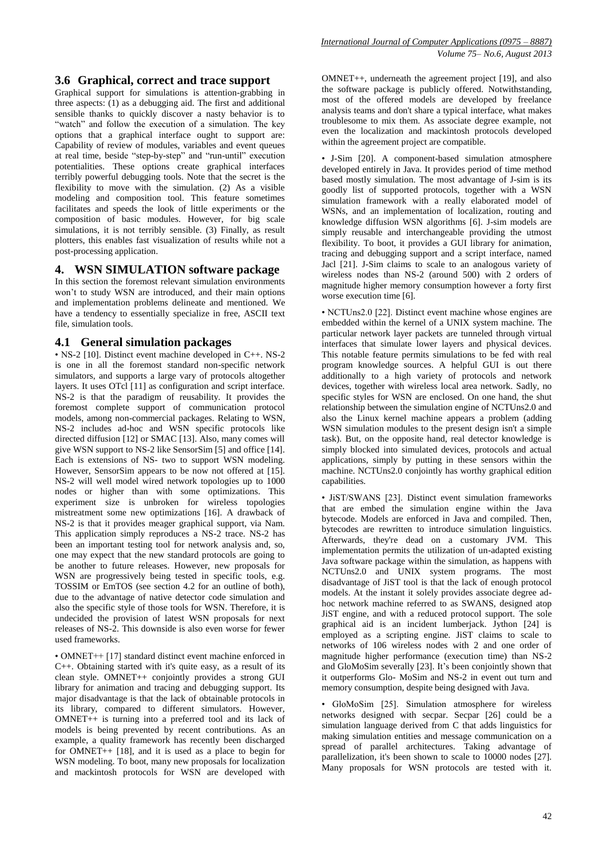## **3.6 Graphical, correct and trace support**

Graphical support for simulations is attention-grabbing in three aspects: (1) as a debugging aid. The first and additional sensible thanks to quickly discover a nasty behavior is to "watch" and follow the execution of a simulation. The key options that a graphical interface ought to support are: Capability of review of modules, variables and event queues at real time, beside "step-by-step" and "run-until" execution potentialities. These options create graphical interfaces terribly powerful debugging tools. Note that the secret is the flexibility to move with the simulation. (2) As a visible modeling and composition tool. This feature sometimes facilitates and speeds the look of little experiments or the composition of basic modules. However, for big scale simulations, it is not terribly sensible. (3) Finally, as result plotters, this enables fast visualization of results while not a post-processing application.

#### **4. WSN SIMULATION software package**

In this section the foremost relevant simulation environments won't to study WSN are introduced, and their main options and implementation problems delineate and mentioned. We have a tendency to essentially specialize in free, ASCII text file, simulation tools.

#### **4.1 General simulation packages**

• NS-2 [10]. Distinct event machine developed in C++. NS-2 is one in all the foremost standard non-specific network simulators, and supports a large vary of protocols altogether layers. It uses OTcl [11] as configuration and script interface. NS-2 is that the paradigm of reusability. It provides the foremost complete support of communication protocol models, among non-commercial packages. Relating to WSN, NS-2 includes ad-hoc and WSN specific protocols like directed diffusion [12] or SMAC [13]. Also, many comes will give WSN support to NS-2 like SensorSim [5] and office [14]. Each is extensions of NS- two to support WSN modeling. However, SensorSim appears to be now not offered at [15]. NS-2 will well model wired network topologies up to 1000 nodes or higher than with some optimizations. This experiment size is unbroken for wireless topologies mistreatment some new optimizations [16]. A drawback of NS-2 is that it provides meager graphical support, via Nam. This application simply reproduces a NS-2 trace. NS-2 has been an important testing tool for network analysis and, so, one may expect that the new standard protocols are going to be another to future releases. However, new proposals for WSN are progressively being tested in specific tools, e.g. TOSSIM or EmTOS (see section 4.2 for an outline of both), due to the advantage of native detector code simulation and also the specific style of those tools for WSN. Therefore, it is undecided the provision of latest WSN proposals for next releases of NS-2. This downside is also even worse for fewer used frameworks.

• OMNET++ [17] standard distinct event machine enforced in C++. Obtaining started with it's quite easy, as a result of its clean style. OMNET++ conjointly provides a strong GUI library for animation and tracing and debugging support. Its major disadvantage is that the lack of obtainable protocols in its library, compared to different simulators. However, OMNET++ is turning into a preferred tool and its lack of models is being prevented by recent contributions. As an example, a quality framework has recently been discharged for OMNET++ [18], and it is used as a place to begin for WSN modeling. To boot, many new proposals for localization and mackintosh protocols for WSN are developed with

OMNET++, underneath the agreement project [19], and also the software package is publicly offered. Notwithstanding, most of the offered models are developed by freelance analysis teams and don't share a typical interface, what makes troublesome to mix them. As associate degree example, not even the localization and mackintosh protocols developed within the agreement project are compatible.

• J-Sim [20]. A component-based simulation atmosphere developed entirely in Java. It provides period of time method based mostly simulation. The most advantage of J-sim is its goodly list of supported protocols, together with a WSN simulation framework with a really elaborated model of WSNs, and an implementation of localization, routing and knowledge diffusion WSN algorithms [6]. J-sim models are simply reusable and interchangeable providing the utmost flexibility. To boot, it provides a GUI library for animation, tracing and debugging support and a script interface, named Jacl [21]. J-Sim claims to scale to an analogous variety of wireless nodes than NS-2 (around 500) with 2 orders of magnitude higher memory consumption however a forty first worse execution time [6].

• NCTUns2.0 [22]. Distinct event machine whose engines are embedded within the kernel of a UNIX system machine. The particular network layer packets are tunneled through virtual interfaces that simulate lower layers and physical devices. This notable feature permits simulations to be fed with real program knowledge sources. A helpful GUI is out there additionally to a high variety of protocols and network devices, together with wireless local area network. Sadly, no specific styles for WSN are enclosed. On one hand, the shut relationship between the simulation engine of NCTUns2.0 and also the Linux kernel machine appears a problem (adding WSN simulation modules to the present design isn't a simple task). But, on the opposite hand, real detector knowledge is simply blocked into simulated devices, protocols and actual applications, simply by putting in these sensors within the machine. NCTUns2.0 conjointly has worthy graphical edition capabilities.

• JiST/SWANS [23]. Distinct event simulation frameworks that are embed the simulation engine within the Java bytecode. Models are enforced in Java and compiled. Then, bytecodes are rewritten to introduce simulation linguistics. Afterwards, they're dead on a customary JVM. This implementation permits the utilization of un-adapted existing Java software package within the simulation, as happens with NCTUns2.0 and UNIX system programs. The most disadvantage of JiST tool is that the lack of enough protocol models. At the instant it solely provides associate degree adhoc network machine referred to as SWANS, designed atop JiST engine, and with a reduced protocol support. The sole graphical aid is an incident lumberjack. Jython [24] is employed as a scripting engine. JiST claims to scale to networks of 106 wireless nodes with 2 and one order of magnitude higher performance (execution time) than NS-2 and GloMoSim severally [23]. It's been conjointly shown that it outperforms Glo- MoSim and NS-2 in event out turn and memory consumption, despite being designed with Java.

• GloMoSim [25]. Simulation atmosphere for wireless networks designed with secpar. Secpar [26] could be a simulation language derived from C that adds linguistics for making simulation entities and message communication on a spread of parallel architectures. Taking advantage of parallelization, it's been shown to scale to 10000 nodes [27]. Many proposals for WSN protocols are tested with it.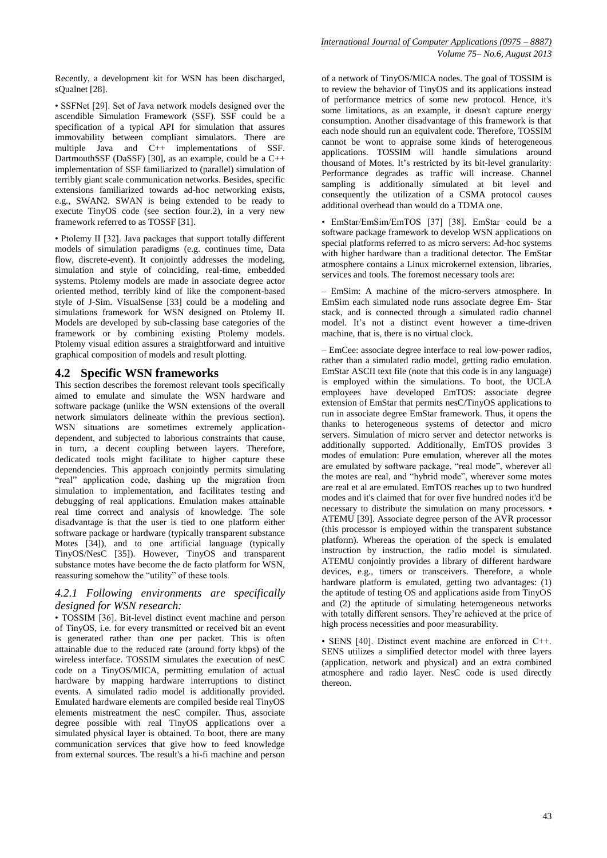• SSFNet [29]. Set of Java network models designed over the ascendible Simulation Framework (SSF). SSF could be a specification of a typical API for simulation that assures immovability between compliant simulators. There are multiple Java and C++ implementations of SSF. DartmouthSSF (DaSSF) [30], as an example, could be a C++ implementation of SSF familiarized to (parallel) simulation of terribly giant scale communication networks. Besides, specific extensions familiarized towards ad-hoc networking exists, e.g., SWAN2. SWAN is being extended to be ready to execute TinyOS code (see section four.2), in a very new framework referred to as TOSSF [31].

• Ptolemy II [32]. Java packages that support totally different models of simulation paradigms (e.g. continues time, Data flow, discrete-event). It conjointly addresses the modeling, simulation and style of coinciding, real-time, embedded systems. Ptolemy models are made in associate degree actor oriented method, terribly kind of like the component-based style of J-Sim. VisualSense [33] could be a modeling and simulations framework for WSN designed on Ptolemy II. Models are developed by sub-classing base categories of the framework or by combining existing Ptolemy models. Ptolemy visual edition assures a straightforward and intuitive graphical composition of models and result plotting.

## **4.2 Specific WSN frameworks**

This section describes the foremost relevant tools specifically aimed to emulate and simulate the WSN hardware and software package (unlike the WSN extensions of the overall network simulators delineate within the previous section). WSN situations are sometimes extremely applicationdependent, and subjected to laborious constraints that cause, in turn, a decent coupling between layers. Therefore, dedicated tools might facilitate to higher capture these dependencies. This approach conjointly permits simulating "real" application code, dashing up the migration from simulation to implementation, and facilitates testing and debugging of real applications. Emulation makes attainable real time correct and analysis of knowledge. The sole disadvantage is that the user is tied to one platform either software package or hardware (typically transparent substance Motes [34]), and to one artificial language (typically TinyOS/NesC [35]). However, TinyOS and transparent substance motes have become the de facto platform for WSN, reassuring somehow the "utility" of these tools.

## *4.2.1 Following environments are specifically designed for WSN research:*

• TOSSIM [36]. Bit-level distinct event machine and person of TinyOS, i.e. for every transmitted or received bit an event is generated rather than one per packet. This is often attainable due to the reduced rate (around forty kbps) of the wireless interface. TOSSIM simulates the execution of nesC code on a TinyOS/MICA, permitting emulation of actual hardware by mapping hardware interruptions to distinct events. A simulated radio model is additionally provided. Emulated hardware elements are compiled beside real TinyOS elements mistreatment the nesC compiler. Thus, associate degree possible with real TinyOS applications over a simulated physical layer is obtained. To boot, there are many communication services that give how to feed knowledge from external sources. The result's a hi-fi machine and person

of a network of TinyOS/MICA nodes. The goal of TOSSIM is to review the behavior of TinyOS and its applications instead of performance metrics of some new protocol. Hence, it's some limitations, as an example, it doesn't capture energy consumption. Another disadvantage of this framework is that each node should run an equivalent code. Therefore, TOSSIM cannot be wont to appraise some kinds of heterogeneous applications.  $TOSSIM$  will handle simulations around thousand of Motes. It's restricted by its bit-level granularity: Performance degrades as traffic will increase. Channel sampling is additionally simulated at bit level and consequently the utilization of a CSMA protocol causes additional overhead than would do a TDMA one.

• EmStar/EmSim/EmTOS [37] [38]. EmStar could be a software package framework to develop WSN applications on special platforms referred to as micro servers: Ad-hoc systems with higher hardware than a traditional detector. The EmStar atmosphere contains a Linux microkernel extension, libraries, services and tools. The foremost necessary tools are:

– EmSim: A machine of the micro-servers atmosphere. In EmSim each simulated node runs associate degree Em- Star stack, and is connected through a simulated radio channel model. It's not a distinct event however a time-driven machine, that is, there is no virtual clock.

– EmCee: associate degree interface to real low-power radios, rather than a simulated radio model, getting radio emulation. EmStar ASCII text file (note that this code is in any language) is employed within the simulations. To boot, the UCLA employees have developed EmTOS: associate degree extension of EmStar that permits nesC/TinyOS applications to run in associate degree EmStar framework. Thus, it opens the thanks to heterogeneous systems of detector and micro servers. Simulation of micro server and detector networks is additionally supported. Additionally, EmTOS provides 3 modes of emulation: Pure emulation, wherever all the motes are emulated by software package, "real mode", wherever all the motes are real, and "hybrid mode", wherever some motes are real et al are emulated. EmTOS reaches up to two hundred modes and it's claimed that for over five hundred nodes it'd be necessary to distribute the simulation on many processors. • ATEMU [39]. Associate degree person of the AVR processor (this processor is employed within the transparent substance platform). Whereas the operation of the speck is emulated instruction by instruction, the radio model is simulated. ATEMU conjointly provides a library of different hardware devices, e.g., timers or transceivers. Therefore, a whole hardware platform is emulated, getting two advantages: (1) the aptitude of testing OS and applications aside from TinyOS and (2) the aptitude of simulating heterogeneous networks with totally different sensors. They're achieved at the price of high process necessities and poor measurability.

• SENS [40]. Distinct event machine are enforced in C++. SENS utilizes a simplified detector model with three layers (application, network and physical) and an extra combined atmosphere and radio layer. NesC code is used directly thereon.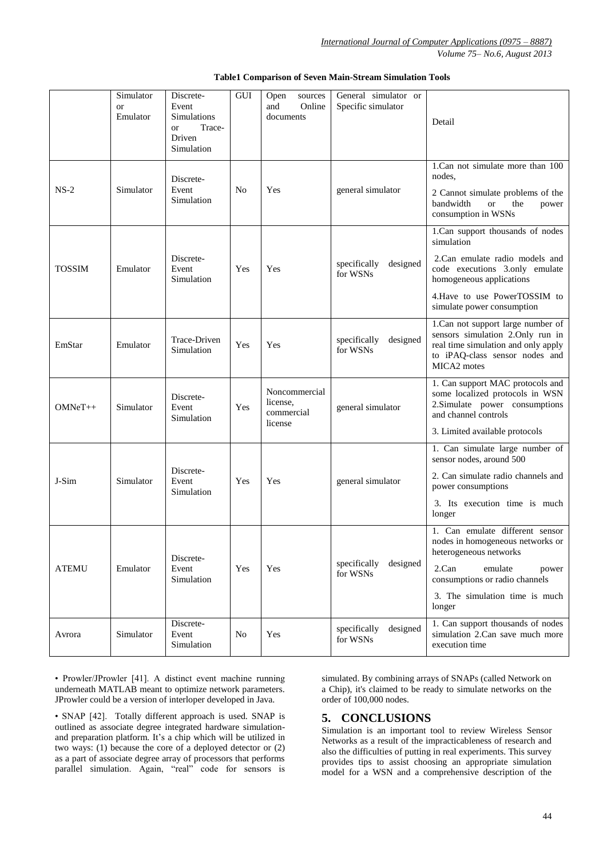*Volume 75– No.6, August 2013*

|               | Simulator<br><sub>or</sub><br>Emulator | Discrete-<br>Event<br>Simulations<br>Trace-<br><b>or</b><br>Driven<br>Simulation | GUI | sources<br>Open<br>Online<br>and<br>documents      | General simulator or<br>Specific simulator | Detail                                                                                                                                                                                                        |
|---------------|----------------------------------------|----------------------------------------------------------------------------------|-----|----------------------------------------------------|--------------------------------------------|---------------------------------------------------------------------------------------------------------------------------------------------------------------------------------------------------------------|
| $NS-2$        | Simulator                              | Discrete-<br>Event<br>Simulation                                                 | No  | Yes                                                | general simulator                          | 1. Can not simulate more than 100<br>nodes.<br>2 Cannot simulate problems of the<br>bandwidth<br><b>or</b><br>the<br>power<br>consumption in WSNs                                                             |
| <b>TOSSIM</b> | Emulator                               | Discrete-<br>Event<br>Simulation                                                 | Yes | Yes                                                | designed<br>specifically<br>for WSNs       | 1.Can support thousands of nodes<br>simulation<br>2.Can emulate radio models and<br>code executions 3.only emulate<br>homogeneous applications<br>4. Have to use PowerTOSSIM to<br>simulate power consumption |
| EmStar        | Emulator                               | Trace-Driven<br>Simulation                                                       | Yes | Yes                                                | designed<br>specifically<br>for WSNs       | 1.Can not support large number of<br>sensors simulation 2.Only run in<br>real time simulation and only apply<br>to iPAQ-class sensor nodes and<br>MICA2 motes                                                 |
| $OMNeT++$     | Simulator                              | Discrete-<br>Event<br>Simulation                                                 | Yes | Noncommercial<br>license,<br>commercial<br>license | general simulator                          | 1. Can support MAC protocols and<br>some localized protocols in WSN<br>2. Simulate power consumptions<br>and channel controls<br>3. Limited available protocols                                               |
| J-Sim         | Simulator                              | Discrete-<br>Event<br>Simulation                                                 | Yes | Yes                                                | general simulator                          | 1. Can simulate large number of<br>sensor nodes, around 500<br>2. Can simulate radio channels and<br>power consumptions<br>3. Its execution time is much<br>longer                                            |
| <b>ATEMU</b>  | Emulator                               | Discrete-<br>Event<br>Simulation                                                 | Yes | Yes                                                | designed<br>specifically<br>for WSNs       | 1. Can emulate different sensor<br>nodes in homogeneous networks or<br>heterogeneous networks<br>2.Can<br>emulate<br>power<br>consumptions or radio channels<br>3. The simulation time is much<br>longer      |
| Avrora        | Simulator                              | Discrete-<br>Event<br>Simulation                                                 | No  | Yes                                                | specifically<br>designed<br>for WSNs       | 1. Can support thousands of nodes<br>simulation 2.Can save much more<br>execution time                                                                                                                        |

#### **Table1 Comparison of Seven Main-Stream Simulation Tools**

• Prowler/JProwler [41]. A distinct event machine running underneath MATLAB meant to optimize network parameters. JProwler could be a version of interloper developed in Java.

• SNAP [42]. Totally different approach is used. SNAP is outlined as associate degree integrated hardware simulationand preparation platform. It's a chip which will be utilized in two ways: (1) because the core of a deployed detector or (2) as a part of associate degree array of processors that performs parallel simulation. Again, "real" code for sensors is

simulated. By combining arrays of SNAPs (called Network on a Chip), it's claimed to be ready to simulate networks on the order of 100,000 nodes.

## **5. CONCLUSIONS**

Simulation is an important tool to review Wireless Sensor Networks as a result of the impracticableness of research and also the difficulties of putting in real experiments. This survey provides tips to assist choosing an appropriate simulation model for a WSN and a comprehensive description of the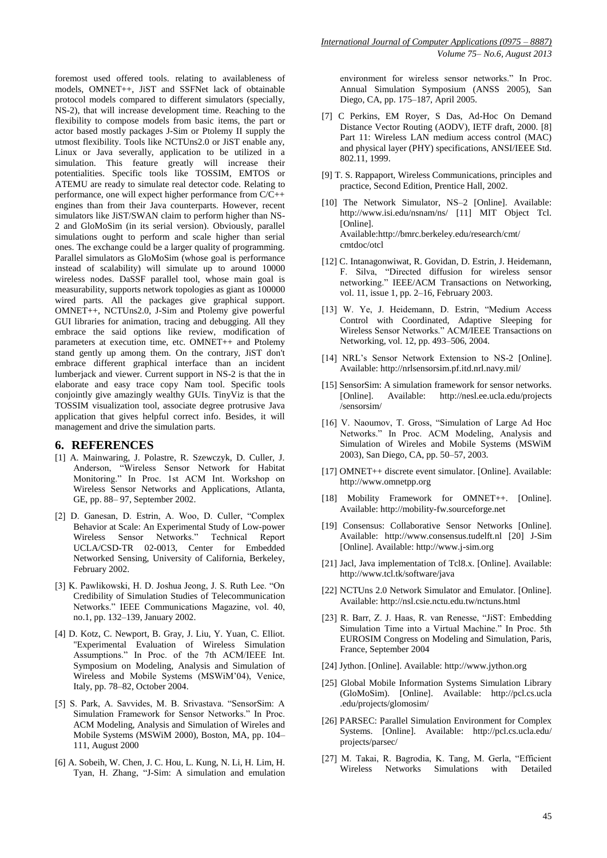foremost used offered tools. relating to availableness of models, OMNET++, JiST and SSFNet lack of obtainable protocol models compared to different simulators (specially, NS-2), that will increase development time. Reaching to the flexibility to compose models from basic items, the part or actor based mostly packages J-Sim or Ptolemy II supply the utmost flexibility. Tools like NCTUns2.0 or JiST enable any, Linux or Java severally, application to be utilized in a simulation. This feature greatly will increase their potentialities. Specific tools like TOSSIM, EMTOS or ATEMU are ready to simulate real detector code. Relating to performance, one will expect higher performance from C/C++ engines than from their Java counterparts. However, recent simulators like JiST/SWAN claim to perform higher than NS-2 and GloMoSim (in its serial version). Obviously, parallel simulations ought to perform and scale higher than serial ones. The exchange could be a larger quality of programming. Parallel simulators as GloMoSim (whose goal is performance instead of scalability) will simulate up to around 10000 wireless nodes. DaSSF parallel tool, whose main goal is measurability, supports network topologies as giant as 100000 wired parts. All the packages give graphical support. OMNET++, NCTUns2.0, J-Sim and Ptolemy give powerful GUI libraries for animation, tracing and debugging. All they embrace the said options like review, modification of parameters at execution time, etc. OMNET++ and Ptolemy stand gently up among them. On the contrary, JiST don't embrace different graphical interface than an incident lumberjack and viewer. Current support in NS-2 is that the in elaborate and easy trace copy Nam tool. Specific tools conjointly give amazingly wealthy GUIs. TinyViz is that the TOSSIM visualization tool, associate degree protrusive Java application that gives helpful correct info. Besides, it will management and drive the simulation parts.

#### **6. REFERENCES**

- [1] A. Mainwaring, J. Polastre, R. Szewczyk, D. Culler, J. Anderson, "Wireless Sensor Network for Habitat Monitoring." In Proc. 1st ACM Int. Workshop on Wireless Sensor Networks and Applications, Atlanta, GE, pp. 88– 97, September 2002.
- [2] D. Ganesan, D. Estrin, A. Woo, D. Culler, "Complex Behavior at Scale: An Experimental Study of Low-power Wireless Sensor Networks." Technical Report UCLA/CSD-TR 02-0013, Center for Embedded Networked Sensing, University of California, Berkeley, February 2002.
- [3] K. Pawlikowski, H. D. Joshua Jeong, J. S. Ruth Lee. "On Credibility of Simulation Studies of Telecommunication Networks." IEEE Communications Magazine, vol. 40, no.1, pp. 132–139, January 2002.
- [4] D. Kotz, C. Newport, B. Gray, J. Liu, Y. Yuan, C. Elliot. "Experimental Evaluation of Wireless Simulation Assumptions." In Proc. of the 7th ACM/IEEE Int. Symposium on Modeling, Analysis and Simulation of Wireless and Mobile Systems (MSWiM'04), Venice, Italy, pp. 78–82, October 2004.
- [5] S. Park, A. Savvides, M. B. Srivastava. "SensorSim: A Simulation Framework for Sensor Networks." In Proc. ACM Modeling, Analysis and Simulation of Wireles and Mobile Systems (MSWiM 2000), Boston, MA, pp. 104– 111, August 2000
- [6] A. Sobeih, W. Chen, J. C. Hou, L. Kung, N. Li, H. Lim, H. Tyan, H. Zhang, "J-Sim: A simulation and emulation

environment for wireless sensor networks." In Proc. Annual Simulation Symposium (ANSS 2005), San Diego, CA, pp. 175–187, April 2005.

- [7] C Perkins, EM Royer, S Das, Ad-Hoc On Demand Distance Vector Routing (AODV), IETF draft, 2000. [8] Part 11: Wireless LAN medium access control (MAC) and physical layer (PHY) specifications, ANSI/IEEE Std. 802.11, 1999.
- [9] T. S. Rappaport, Wireless Communications, principles and practice, Second Edition, Prentice Hall, 2002.
- [10] The Network Simulator, NS-2 [Online]. Available: <http://www.isi.edu/nsnam/ns/> [11] MIT Object Tcl. [Online]. Available:http://bmrc.berkeley.edu/research/cmt/ cmtdoc/otcl
- [12] C. Intanagonwiwat, R. Govidan, D. Estrin, J. Heidemann, F. Silva, "Directed diffusion for wireless sensor networking." IEEE/ACM Transactions on Networking, vol. 11, issue 1, pp. 2–16, February 2003.
- [13] W. Ye, J. Heidemann, D. Estrin, "Medium Access Control with Coordinated, Adaptive Sleeping for Wireless Sensor Networks." ACM/IEEE Transactions on Networking, vol. 12, pp. 493–506, 2004.
- [14] NRL's Sensor Network Extension to NS-2 [Online]. Available[: http://nrlsensorsim.pf.itd.nrl.navy.mil/](http://nrlsensorsim.pf.itd.nrl.navy.mil/)
- [15] SensorSim: A simulation framework for sensor networks. [Online]. Available: http://nesl.ee.ucla.edu/projects /sensorsim/
- [16] V. Naoumov, T. Gross, "Simulation of Large Ad Hoc Networks." In Proc. ACM Modeling, Analysis and Simulation of Wireles and Mobile Systems (MSWiM 2003), San Diego, CA, pp. 50–57, 2003.
- [17] OMNET++ discrete event simulator. [Online]. Available: http://www.omnetpp.org
- [18] Mobility Framework for OMNET++. [Online]. Available: [http://mobility-fw.sourceforge.net](http://mobility-fw.sourceforge.net/)
- [19] Consensus: Collaborative Sensor Networks [Online]. Available: [http://www.consensus.tudelft.nl](http://www.consensus.tudelft.nl/) [20] J-Sim [Online]. Available: http://www.j-sim.org
- [21] Jacl, Java implementation of Tcl8.x. [Online]. Available: <http://www.tcl.tk/software/java>
- [22] NCTUns 2.0 Network Simulator and Emulator. [Online]. Available[: http://nsl.csie.nctu.edu.tw/nctuns.html](http://nsl.csie.nctu.edu.tw/nctuns.html)
- [23] R. Barr, Z. J. Haas, R. van Renesse, "JiST: Embedding Simulation Time into a Virtual Machine." In Proc. 5th EUROSIM Congress on Modeling and Simulation, Paris, France, September 2004
- [24] Jython. [Online]. Available: http://www.jython.org
- [25] Global Mobile Information Systems Simulation Library (GloMoSim). [Online]. Available: http://pcl.cs.ucla .edu/projects/glomosim/
- [26] PARSEC: Parallel Simulation Environment for Complex Systems. [Online]. Available: http://pcl.cs.ucla.edu/ projects/parsec/
- [27] M. Takai, R. Bagrodia, K. Tang, M. Gerla, "Efficient Wireless Networks Simulations with Detailed